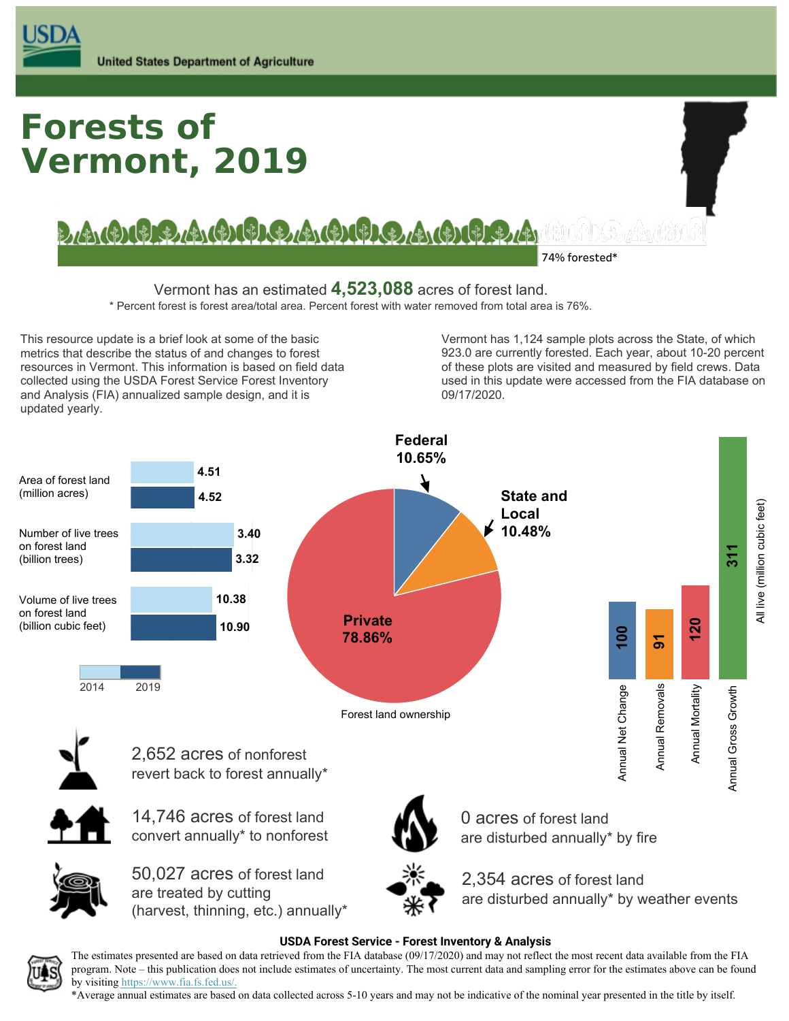

# **Forests of Vermont, 2019**

BAGIC BIELAI (BICHEL AI (BICHEL BAGIC) IFIFIA

**74% forested\***

 Vermont has an estimated **4,523,088** acres of forest land. \* Percent forest is forest area/total area. Percent forest with water removed from total area is 76%.

 This resource update is a brief look at some of the basic metrics that describe the status of and changes to forest resources in Vermont. This information is based on field data collected using the USDA Forest Service Forest Inventory and Analysis (FIA) annualized sample design, and it is updated yearly.

 Vermont has 1,124 sample plots across the State, of which 923.0 are currently forested. Each year, about 10-20 percent of these plots are visited and measured by field crews. Data used in this update were accessed from the FIA database on 09/17/2020.



 The estimates presented are based on data retrieved from the FIA database (09/17/2020) and may not reflect the most recent data available from the FIA program. Note – this publication does not include estimates of uncertainty. The most current data and sampling error for the estimates above can be found by visiting [https://www.fia.fs.fed.us/](https://www.fia.fs.fed.us).

 \*Average annual estimates are based on data collected across 5-10 years and may not be indicative of the nominal year presented in the title by itself.